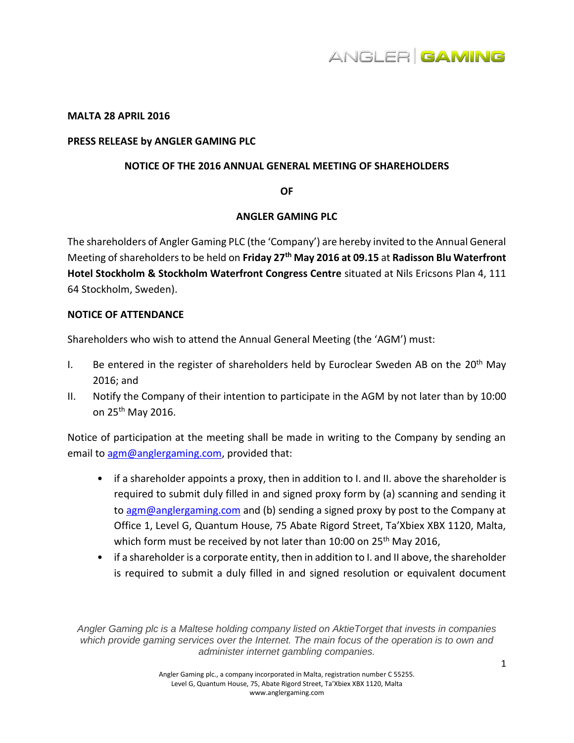

#### **MALTA 28 APRIL 2016**

#### **PRESS RELEASE by ANGLER GAMING PLC**

#### **NOTICE OF THE 2016 ANNUAL GENERAL MEETING OF SHAREHOLDERS**

**OF** 

## **ANGLER GAMING PLC**

The shareholders of Angler Gaming PLC (the 'Company') are hereby invited to the Annual General Meeting of shareholders to be held on **Friday 27th May 2016 at 09.15** at **Radisson Blu Waterfront Hotel Stockholm & Stockholm Waterfront Congress Centre** situated at Nils Ericsons Plan 4, 111 64 Stockholm, Sweden).

## **NOTICE OF ATTENDANCE**

Shareholders who wish to attend the Annual General Meeting (the 'AGM') must:

- I. Be entered in the register of shareholders held by Euroclear Sweden AB on the  $20<sup>th</sup>$  May 2016; and
- II. Notify the Company of their intention to participate in the AGM by not later than by 10:00 on 25<sup>th</sup> May 2016.

Notice of participation at the meeting shall be made in writing to the Company by sending an email to [agm@anglergaming.com,](mailto:agm@anglergaming.com) provided that:

- if a shareholder appoints a proxy, then in addition to I. and II. above the shareholder is required to submit duly filled in and signed proxy form by (a) scanning and sending it t[o agm@anglergaming.com](mailto:agm@anglergaming.com) and (b) sending a signed proxy by post to the Company at Office 1, Level G, Quantum House, 75 Abate Rigord Street, Ta'Xbiex XBX 1120, Malta, which form must be received by not later than 10:00 on 25<sup>th</sup> May 2016,
- if a shareholder is a corporate entity, then in addition to I. and II above, the shareholder is required to submit a duly filled in and signed resolution or equivalent document

*Angler Gaming plc is a Maltese holding company listed on AktieTorget that invests in companies which provide gaming services over the Internet. The main focus of the operation is to own and administer internet gambling companies.*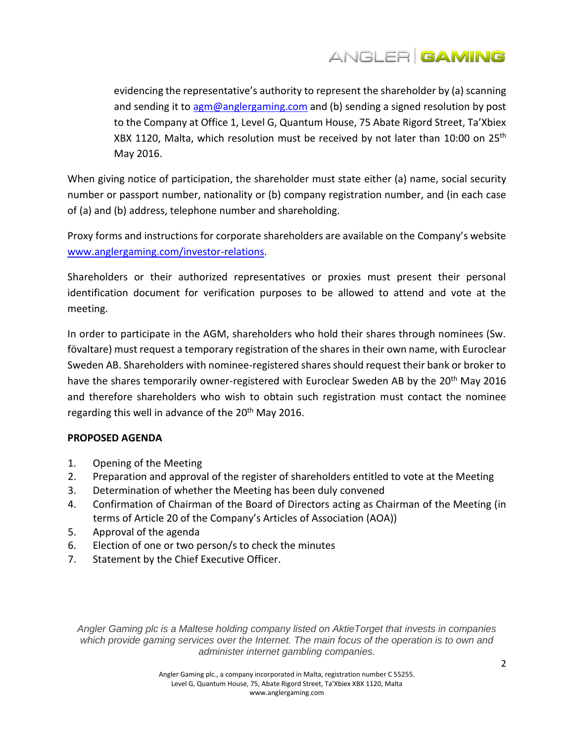

evidencing the representative's authority to represent the shareholder by (a) scanning and sending it to [agm@anglergaming.com](mailto:agm@anglergaming.com) and (b) sending a signed resolution by post to the Company at Office 1, Level G, Quantum House, 75 Abate Rigord Street, Ta'Xbiex XBX 1120, Malta, which resolution must be received by not later than 10:00 on 25<sup>th</sup> May 2016.

When giving notice of participation, the shareholder must state either (a) name, social security number or passport number, nationality or (b) company registration number, and (in each case of (a) and (b) address, telephone number and shareholding.

Proxy forms and instructions for corporate shareholders are available on the Company's website [www.anglergaming.com/](http://www.anglergaming.com/)investor-relations.

Shareholders or their authorized representatives or proxies must present their personal identification document for verification purposes to be allowed to attend and vote at the meeting.

In order to participate in the AGM, shareholders who hold their shares through nominees (Sw. fövaltare) must request a temporary registration of the shares in their own name, with Euroclear Sweden AB. Shareholders with nominee-registered shares should request their bank or broker to have the shares temporarily owner-registered with Euroclear Sweden AB by the 20<sup>th</sup> May 2016 and therefore shareholders who wish to obtain such registration must contact the nominee regarding this well in advance of the 20<sup>th</sup> May 2016.

# **PROPOSED AGENDA**

- 1. Opening of the Meeting
- 2. Preparation and approval of the register of shareholders entitled to vote at the Meeting
- 3. Determination of whether the Meeting has been duly convened
- 4. Confirmation of Chairman of the Board of Directors acting as Chairman of the Meeting (in terms of Article 20 of the Company's Articles of Association (AOA))
- 5. Approval of the agenda
- 6. Election of one or two person/s to check the minutes
- 7. Statement by the Chief Executive Officer.

*Angler Gaming plc is a Maltese holding company listed on AktieTorget that invests in companies which provide gaming services over the Internet. The main focus of the operation is to own and administer internet gambling companies.*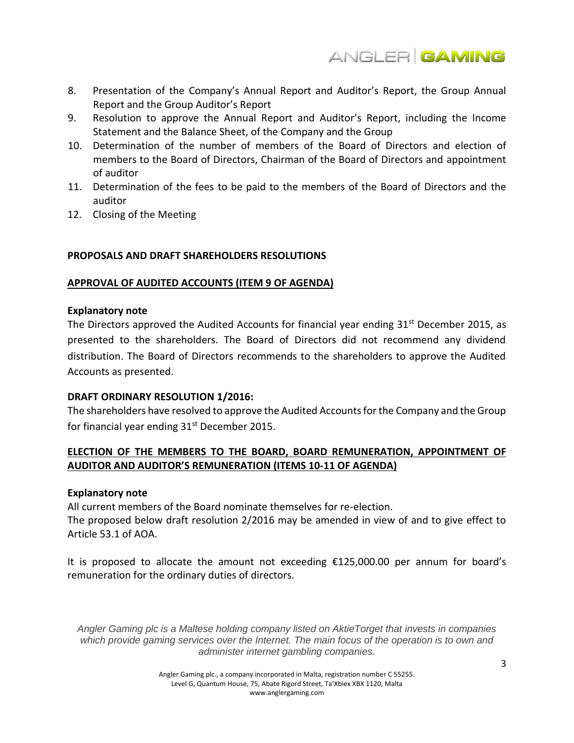

- 8. Presentation of the Company's Annual Report and Auditor's Report, the Group Annual Report and the Group Auditor's Report
- 9. Resolution to approve the Annual Report and Auditor's Report, including the Income Statement and the Balance Sheet, of the Company and the Group
- 10. Determination of the number of members of the Board of Directors and election of members to the Board of Directors, Chairman of the Board of Directors and appointment of auditor
- 11. Determination of the fees to be paid to the members of the Board of Directors and the auditor
- 12. Closing of the Meeting

# **PROPOSALS AND DRAFT SHAREHOLDERS RESOLUTIONS**

## **APPROVAL OF AUDITED ACCOUNTS (ITEM 9 OF AGENDA)**

## **Explanatory note**

The Directors approved the Audited Accounts for financial year ending 31<sup>st</sup> December 2015, as presented to the shareholders. The Board of Directors did not recommend any dividend distribution. The Board of Directors recommends to the shareholders to approve the Audited Accounts as presented.

## **DRAFT ORDINARY RESOLUTION 1/2016:**

The shareholders have resolved to approve the Audited Accounts for the Company and the Group for financial year ending  $31<sup>st</sup>$  December 2015.

# **ELECTION OF THE MEMBERS TO THE BOARD, BOARD REMUNERATION, APPOINTMENT OF AUDITOR AND AUDITOR'S REMUNERATION (ITEMS 10-11 OF AGENDA)**

## **Explanatory note**

All current members of the Board nominate themselves for re-election. The proposed below draft resolution 2/2016 may be amended in view of and to give effect to Article 53.1 of AOA.

It is proposed to allocate the amount not exceeding €125,000.00 per annum for board's remuneration for the ordinary duties of directors.

*Angler Gaming plc is a Maltese holding company listed on AktieTorget that invests in companies which provide gaming services over the Internet. The main focus of the operation is to own and administer internet gambling companies.*